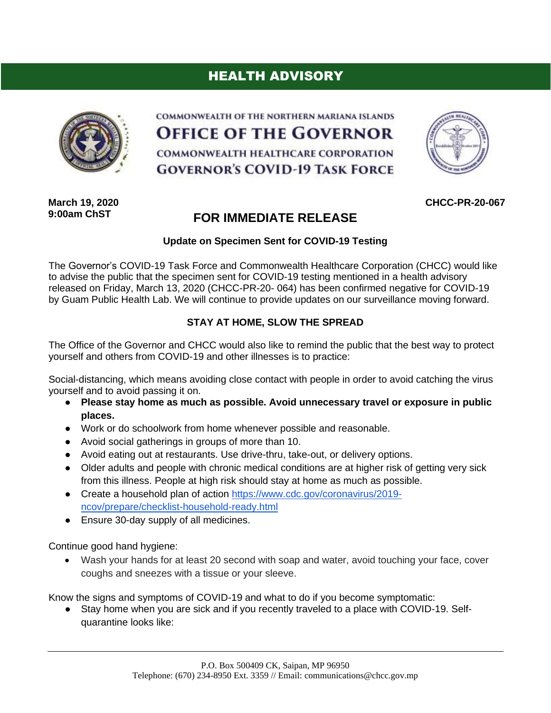## HEALTH ADVISORY



COMMONWEALTH OF THE NORTHERN MARIANA ISLANDS **OFFICE OF THE GOVERNOR** COMMONWEALTH HEALTHCARE CORPORATION **GOVERNOR'S COVID-19 TASK FORCE** 



**CHCC-PR-20-067**

**March 19, 2020 9:00am ChST**

## **FOR IMMEDIATE RELEASE**

## **Update on Specimen Sent for COVID-19 Testing**

The Governor's COVID-19 Task Force and Commonwealth Healthcare Corporation (CHCC) would like to advise the public that the specimen sent for COVID-19 testing mentioned in a health advisory released on Friday, March 13, 2020 (CHCC-PR-20- 064) has been confirmed negative for COVID-19 by Guam Public Health Lab. We will continue to provide updates on our surveillance moving forward.

## **STAY AT HOME, SLOW THE SPREAD**

The Office of the Governor and CHCC would also like to remind the public that the best way to protect yourself and others from COVID-19 and other illnesses is to practice:

Social-distancing, which means avoiding close contact with people in order to avoid catching the virus yourself and to avoid passing it on.

- **Please stay home as much as possible. Avoid unnecessary travel or exposure in public places.**
- Work or do schoolwork from home whenever possible and reasonable.
- Avoid social gatherings in groups of more than 10.
- Avoid eating out at restaurants. Use drive-thru, take-out, or delivery options.
- Older adults and people with chronic medical conditions are at higher risk of getting very sick from this illness. People at high risk should stay at home as much as possible.
- Create a household plan of action [https://www.cdc.gov/coronavirus/2019](https://www.cdc.gov/coronavirus/2019-ncov/prepare/checklist-household-ready.html) [ncov/prepare/checklist-household-ready.html](https://www.cdc.gov/coronavirus/2019-ncov/prepare/checklist-household-ready.html)
- Ensure 30-day supply of all medicines.

Continue good hand hygiene:

• Wash your hands for at least 20 second with soap and water, avoid touching your face, cover coughs and sneezes with a tissue or your sleeve.

Know the signs and symptoms of COVID-19 and what to do if you become symptomatic:

● Stay home when you are sick and if you recently traveled to a place with COVID-19. Selfquarantine looks like: